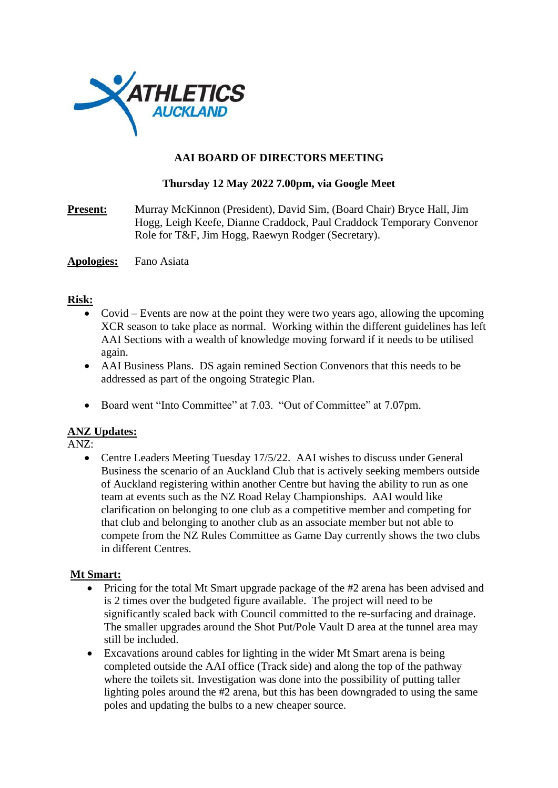

# **AAI BOARD OF DIRECTORS MEETING**

### **Thursday 12 May 2022 7.00pm, via Google Meet**

**Present:** Murray McKinnon (President), David Sim, (Board Chair) Bryce Hall, Jim Hogg, Leigh Keefe, Dianne Craddock, Paul Craddock Temporary Convenor Role for T&F, Jim Hogg, Raewyn Rodger (Secretary).

**Apologies:** Fano Asiata

### **Risk:**

- Covid Events are now at the point they were two years ago, allowing the upcoming XCR season to take place as normal. Working within the different guidelines has left AAI Sections with a wealth of knowledge moving forward if it needs to be utilised again.
- AAI Business Plans. DS again remined Section Convenors that this needs to be addressed as part of the ongoing Strategic Plan.
- Board went "Into Committee" at 7.03. "Out of Committee" at 7.07pm.

# **ANZ Updates:**

ANZ:

• Centre Leaders Meeting Tuesday 17/5/22. AAI wishes to discuss under General Business the scenario of an Auckland Club that is actively seeking members outside of Auckland registering within another Centre but having the ability to run as one team at events such as the NZ Road Relay Championships. AAI would like clarification on belonging to one club as a competitive member and competing for that club and belonging to another club as an associate member but not able to compete from the NZ Rules Committee as Game Day currently shows the two clubs in different Centres.

# **Mt Smart:**

- Pricing for the total Mt Smart upgrade package of the #2 arena has been advised and is 2 times over the budgeted figure available. The project will need to be significantly scaled back with Council committed to the re-surfacing and drainage. The smaller upgrades around the Shot Put/Pole Vault D area at the tunnel area may still be included.
- Excavations around cables for lighting in the wider Mt Smart arena is being completed outside the AAI office (Track side) and along the top of the pathway where the toilets sit. Investigation was done into the possibility of putting taller lighting poles around the #2 arena, but this has been downgraded to using the same poles and updating the bulbs to a new cheaper source.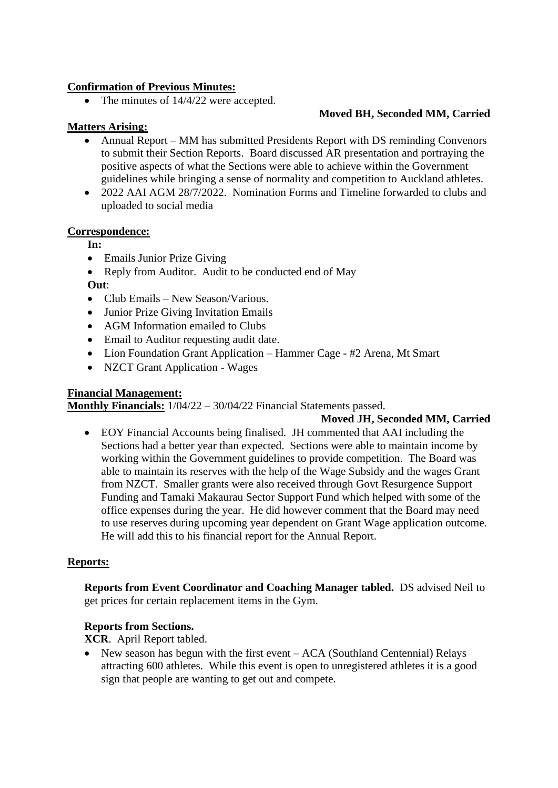### **Confirmation of Previous Minutes:**

• The minutes of  $14/4/22$  were accepted.

# **Moved BH, Seconded MM, Carried**

### **Matters Arising:**

- Annual Report MM has submitted Presidents Report with DS reminding Convenors to submit their Section Reports. Board discussed AR presentation and portraying the positive aspects of what the Sections were able to achieve within the Government guidelines while bringing a sense of normality and competition to Auckland athletes.
- 2022 AAI AGM 28/7/2022. Nomination Forms and Timeline forwarded to clubs and uploaded to social media

#### **Correspondence:**

#### **In:**

- Emails Junior Prize Giving
- Reply from Auditor. Audit to be conducted end of May **Out**:
- Club Emails New Season/Various.
- Junior Prize Giving Invitation Emails
- AGM Information emailed to Clubs
- Email to Auditor requesting audit date.
- Lion Foundation Grant Application Hammer Cage #2 Arena, Mt Smart
- NZCT Grant Application Wages

### **Financial Management:**

**Monthly Financials:** 1/04/22 – 30/04/22 Financial Statements passed.

# **Moved JH, Seconded MM, Carried**

• EOY Financial Accounts being finalised. JH commented that AAI including the Sections had a better year than expected. Sections were able to maintain income by working within the Government guidelines to provide competition. The Board was able to maintain its reserves with the help of the Wage Subsidy and the wages Grant from NZCT. Smaller grants were also received through Govt Resurgence Support Funding and Tamaki Makaurau Sector Support Fund which helped with some of the office expenses during the year. He did however comment that the Board may need to use reserves during upcoming year dependent on Grant Wage application outcome. He will add this to his financial report for the Annual Report.

# **Reports:**

**Reports from Event Coordinator and Coaching Manager tabled.** DS advised Neil to get prices for certain replacement items in the Gym.

# **Reports from Sections.**

**XCR**. April Report tabled.

• New season has begun with the first event – ACA (Southland Centennial) Relays attracting 600 athletes. While this event is open to unregistered athletes it is a good sign that people are wanting to get out and compete.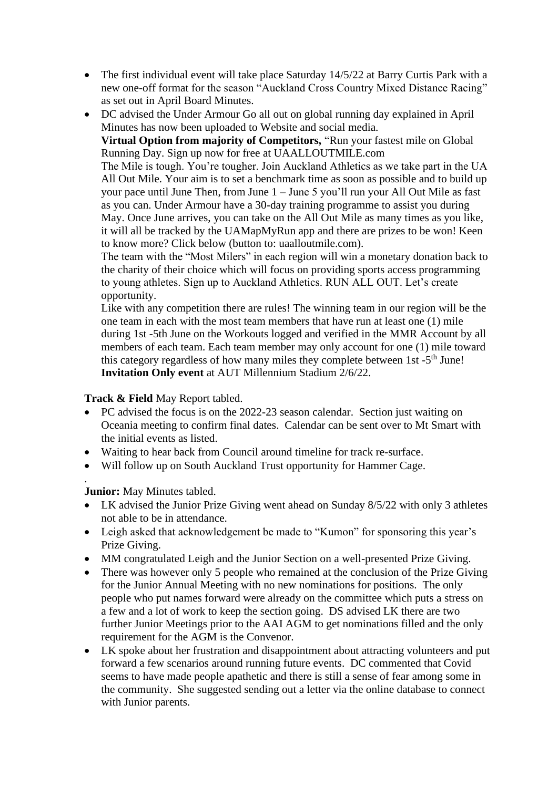- The first individual event will take place Saturday 14/5/22 at Barry Curtis Park with a new one-off format for the season "Auckland Cross Country Mixed Distance Racing" as set out in April Board Minutes.
- DC advised the Under Armour Go all out on global running day explained in April Minutes has now been uploaded to Website and social media.

**Virtual Option from majority of Competitors,** "Run your fastest mile on Global Running Day. Sign up now for free at UAALLOUTMILE.com

The Mile is tough. You're tougher. Join Auckland Athletics as we take part in the UA All Out Mile. Your aim is to set a benchmark time as soon as possible and to build up your pace until June Then, from June 1 – June 5 you'll run your All Out Mile as fast as you can. Under Armour have a 30-day training programme to assist you during May. Once June arrives, you can take on the All Out Mile as many times as you like, it will all be tracked by the UAMapMyRun app and there are prizes to be won! Keen to know more? Click below (button to: uaalloutmile.com).

The team with the "Most Milers" in each region will win a monetary donation back to the charity of their choice which will focus on providing sports access programming to young athletes. Sign up to Auckland Athletics. RUN ALL OUT. Let's create opportunity.

Like with any competition there are rules! The winning team in our region will be the one team in each with the most team members that have run at least one (1) mile during 1st -5th June on the Workouts logged and verified in the MMR Account by all members of each team. Each team member may only account for one (1) mile toward this category regardless of how many miles they complete between 1st -5<sup>th</sup> June! **Invitation Only event** at AUT Millennium Stadium 2/6/22.

# **Track & Field** May Report tabled.

- PC advised the focus is on the 2022-23 season calendar. Section just waiting on Oceania meeting to confirm final dates. Calendar can be sent over to Mt Smart with the initial events as listed.
- Waiting to hear back from Council around timeline for track re-surface.
- Will follow up on South Auckland Trust opportunity for Hammer Cage.

#### . **Junior:** May Minutes tabled.

- LK advised the Junior Prize Giving went ahead on Sunday 8/5/22 with only 3 athletes not able to be in attendance.
- Leigh asked that acknowledgement be made to "Kumon" for sponsoring this year's Prize Giving.
- MM congratulated Leigh and the Junior Section on a well-presented Prize Giving.
- There was however only 5 people who remained at the conclusion of the Prize Giving for the Junior Annual Meeting with no new nominations for positions. The only people who put names forward were already on the committee which puts a stress on a few and a lot of work to keep the section going. DS advised LK there are two further Junior Meetings prior to the AAI AGM to get nominations filled and the only requirement for the AGM is the Convenor.
- LK spoke about her frustration and disappointment about attracting volunteers and put forward a few scenarios around running future events. DC commented that Covid seems to have made people apathetic and there is still a sense of fear among some in the community. She suggested sending out a letter via the online database to connect with Junior parents.